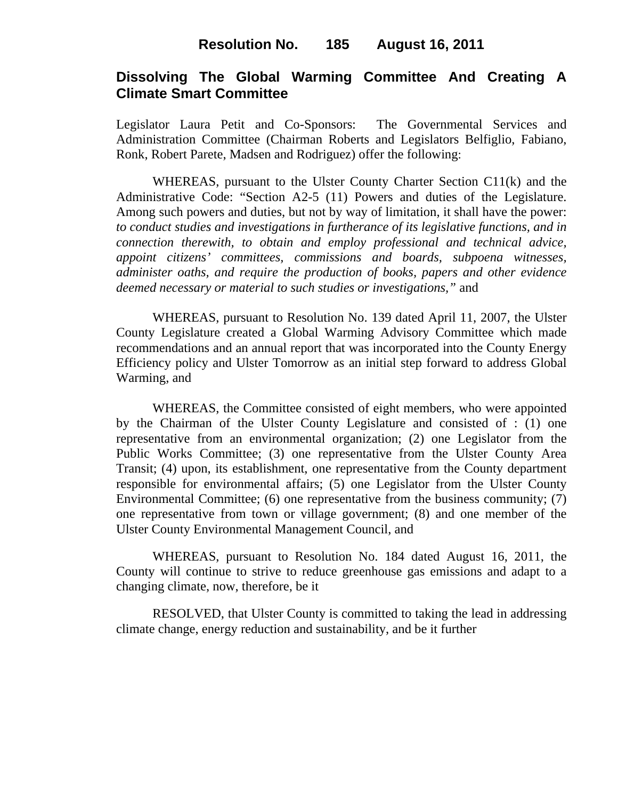# **Dissolving The Global Warming Committee And Creating A Climate Smart Committee**

Legislator Laura Petit and Co-Sponsors: The Governmental Services and Administration Committee (Chairman Roberts and Legislators Belfiglio, Fabiano, Ronk, Robert Parete, Madsen and Rodriguez) offer the following:

WHEREAS, pursuant to the Ulster County Charter Section C11(k) and the Administrative Code: "Section A2-5 (11) Powers and duties of the Legislature. Among such powers and duties, but not by way of limitation, it shall have the power: *to conduct studies and investigations in furtherance of its legislative functions, and in connection therewith, to obtain and employ professional and technical advice, appoint citizens' committees, commissions and boards, subpoena witnesses, administer oaths, and require the production of books, papers and other evidence deemed necessary or material to such studies or investigations,"* and

WHEREAS, pursuant to Resolution No. 139 dated April 11, 2007, the Ulster County Legislature created a Global Warming Advisory Committee which made recommendations and an annual report that was incorporated into the County Energy Efficiency policy and Ulster Tomorrow as an initial step forward to address Global Warming, and

WHEREAS, the Committee consisted of eight members, who were appointed by the Chairman of the Ulster County Legislature and consisted of : (1) one representative from an environmental organization; (2) one Legislator from the Public Works Committee; (3) one representative from the Ulster County Area Transit; (4) upon, its establishment, one representative from the County department responsible for environmental affairs; (5) one Legislator from the Ulster County Environmental Committee; (6) one representative from the business community; (7) one representative from town or village government; (8) and one member of the Ulster County Environmental Management Council, and

WHEREAS, pursuant to Resolution No. 184 dated August 16, 2011, the County will continue to strive to reduce greenhouse gas emissions and adapt to a changing climate, now, therefore, be it

RESOLVED, that Ulster County is committed to taking the lead in addressing climate change, energy reduction and sustainability, and be it further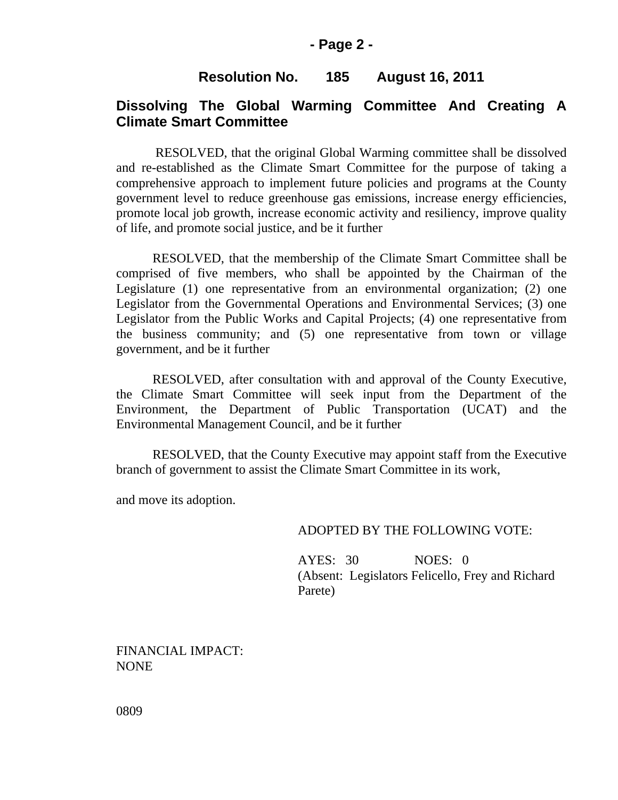# **Resolution No. 185 August 16, 2011**

## **Dissolving The Global Warming Committee And Creating A Climate Smart Committee**

 RESOLVED, that the original Global Warming committee shall be dissolved and re-established as the Climate Smart Committee for the purpose of taking a comprehensive approach to implement future policies and programs at the County government level to reduce greenhouse gas emissions, increase energy efficiencies, promote local job growth, increase economic activity and resiliency, improve quality of life, and promote social justice, and be it further

RESOLVED, that the membership of the Climate Smart Committee shall be comprised of five members, who shall be appointed by the Chairman of the Legislature (1) one representative from an environmental organization; (2) one Legislator from the Governmental Operations and Environmental Services; (3) one Legislator from the Public Works and Capital Projects; (4) one representative from the business community; and (5) one representative from town or village government, and be it further

RESOLVED, after consultation with and approval of the County Executive, the Climate Smart Committee will seek input from the Department of the Environment, the Department of Public Transportation (UCAT) and the Environmental Management Council, and be it further

RESOLVED, that the County Executive may appoint staff from the Executive branch of government to assist the Climate Smart Committee in its work,

and move its adoption.

#### ADOPTED BY THE FOLLOWING VOTE:

AYES: 30 NOES: 0 (Absent: Legislators Felicello, Frey and Richard Parete)

FINANCIAL IMPACT: NONE

0809